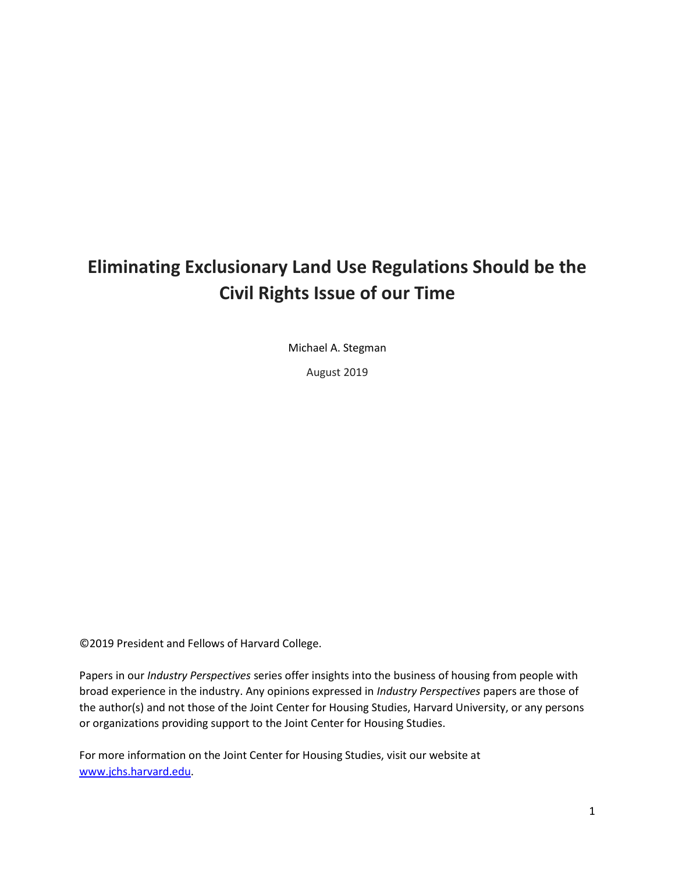# **Eliminating Exclusionary Land Use Regulations Should be the Civil Rights Issue of our Time**

Michael A. Stegman

August 2019

©2019 President and Fellows of Harvard College.

Papers in our *Industry Perspectives* series offer insights into the business of housing from people with broad experience in the industry. Any opinions expressed in *Industry Perspectives* papers are those of the author(s) and not those of the Joint Center for Housing Studies, Harvard University, or any persons or organizations providing support to the Joint Center for Housing Studies.

For more information on the Joint Center for Housing Studies, visit our website at [www.jchs.harvard.edu.](http://www.jchs.harvard.edu/)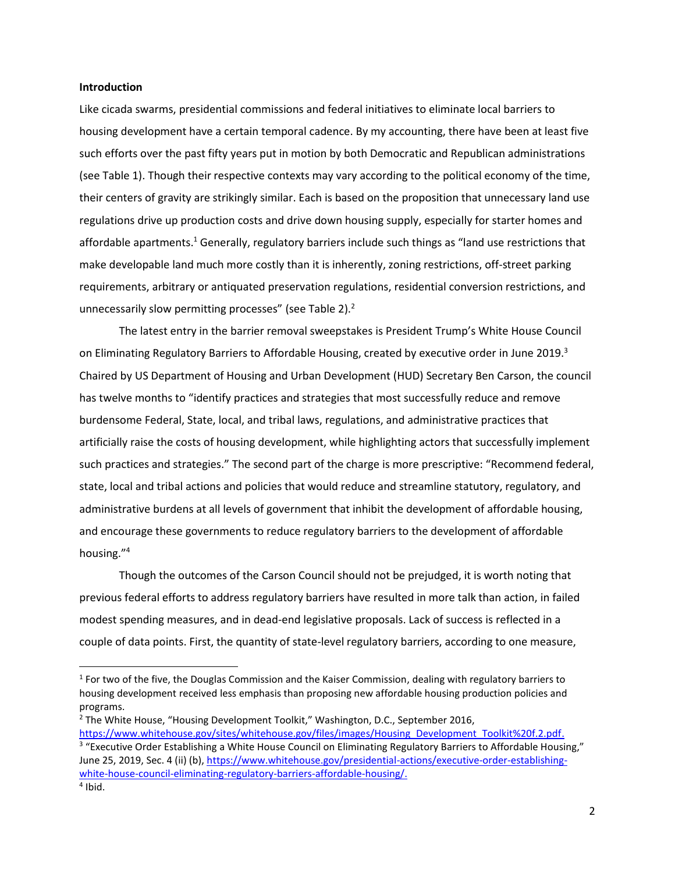#### **Introduction**

Like cicada swarms, presidential commissions and federal initiatives to eliminate local barriers to housing development have a certain temporal cadence. By my accounting, there have been at least five such efforts over the past fifty years put in motion by both Democratic and Republican administrations (see Table 1). Though their respective contexts may vary according to the political economy of the time, their centers of gravity are strikingly similar. Each is based on the proposition that unnecessary land use regulations drive up production costs and drive down housing supply, especially for starter homes and affordable apartments.<sup>1</sup> Generally, regulatory barriers include such things as "land use restrictions that make developable land much more costly than it is inherently, zoning restrictions, off-street parking requirements, arbitrary or antiquated preservation regulations, residential conversion restrictions, and unnecessarily slow permitting processes" (see Table 2).<sup>2</sup>

The latest entry in the barrier removal sweepstakes is President Trump's White House Council on Eliminating Regulatory Barriers to Affordable Housing, created by executive order in June 2019.<sup>3</sup> Chaired by US Department of Housing and Urban Development (HUD) Secretary Ben Carson, the council has twelve months to "identify practices and strategies that most successfully reduce and remove burdensome Federal, State, local, and tribal laws, regulations, and administrative practices that artificially raise the costs of housing development, while highlighting actors that successfully implement such practices and strategies." The second part of the charge is more prescriptive: "Recommend federal, state, local and tribal actions and policies that would reduce and streamline statutory, regulatory, and administrative burdens at all levels of government that inhibit the development of affordable housing, and encourage these governments to reduce regulatory barriers to the development of affordable housing." 4

Though the outcomes of the Carson Council should not be prejudged, it is worth noting that previous federal efforts to address regulatory barriers have resulted in more talk than action, in failed modest spending measures, and in dead-end legislative proposals. Lack of success is reflected in a couple of data points. First, the quantity of state-level regulatory barriers, according to one measure,

 $\overline{\phantom{a}}$ 

<sup>&</sup>lt;sup>1</sup> For two of the five, the Douglas Commission and the Kaiser Commission, dealing with regulatory barriers to housing development received less emphasis than proposing new affordable housing production policies and programs.

<sup>2</sup> The White House, "Housing Development Toolkit," Washington, D.C., September 2016, [https://www.whitehouse.gov/sites/whitehouse.gov/files/images/Housing\\_Development\\_Toolkit%20f.2.pdf.](https://www.whitehouse.gov/sites/whitehouse.gov/files/images/Housing_Development_Toolkit%20f.2.pdf)

<sup>&</sup>lt;sup>3</sup> "Executive Order Establishing a White House Council on Eliminating Regulatory Barriers to Affordable Housing," June 25, 2019, Sec. 4 (ii) (b), [https://www.whitehouse.gov/presidential-actions/executive-order-establishing](https://www.whitehouse.gov/presidential-actions/executive-order-establishing-white-house-council-eliminating-regulatory-barriers-affordable-housing/)[white-house-council-eliminating-regulatory-barriers-affordable-housing/.](https://www.whitehouse.gov/presidential-actions/executive-order-establishing-white-house-council-eliminating-regulatory-barriers-affordable-housing/)

<sup>4</sup> Ibid.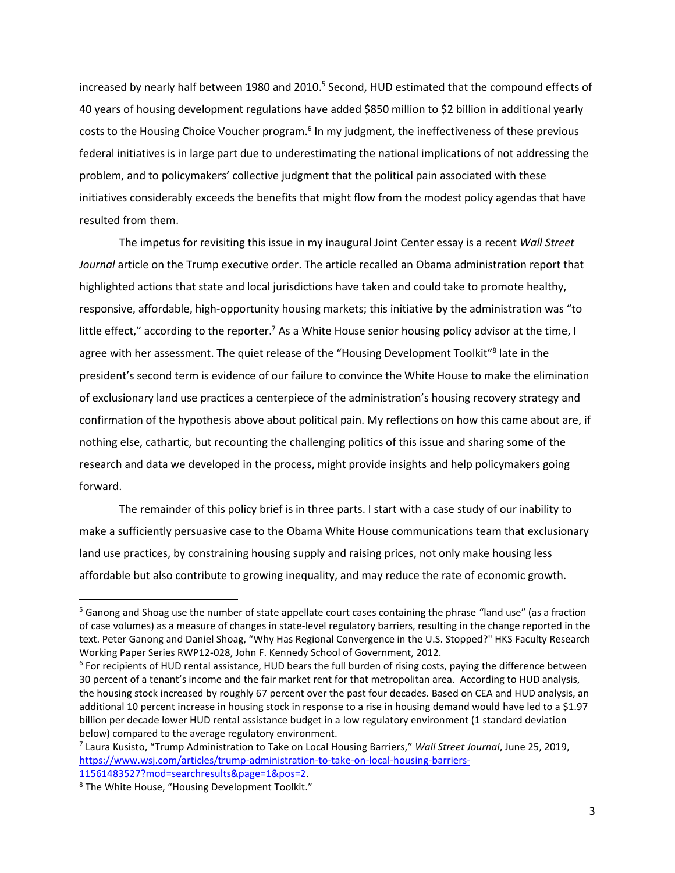increased by nearly half between 1980 and 2010.<sup>5</sup> Second, HUD estimated that the compound effects of 40 years of housing development regulations have added \$850 million to \$2 billion in additional yearly costs to the Housing Choice Voucher program.<sup>6</sup> In my judgment, the ineffectiveness of these previous federal initiatives is in large part due to underestimating the national implications of not addressing the problem, and to policymakers' collective judgment that the political pain associated with these initiatives considerably exceeds the benefits that might flow from the modest policy agendas that have resulted from them.

The impetus for revisiting this issue in my inaugural Joint Center essay is a recent *Wall Street Journal* article on the Trump executive order. The article recalled an Obama administration report that highlighted actions that state and local jurisdictions have taken and could take to promote healthy, responsive, affordable, high-opportunity housing markets; this initiative by the administration was "to little effect," according to the reporter.<sup>7</sup> As a White House senior housing policy advisor at the time, I agree with her assessment. The quiet release of the "Housing Development Toolkit"<sup>8</sup> late in the president's second term is evidence of our failure to convince the White House to make the elimination of exclusionary land use practices a centerpiece of the administration's housing recovery strategy and confirmation of the hypothesis above about political pain. My reflections on how this came about are, if nothing else, cathartic, but recounting the challenging politics of this issue and sharing some of the research and data we developed in the process, might provide insights and help policymakers going forward.

The remainder of this policy brief is in three parts. I start with a case study of our inability to make a sufficiently persuasive case to the Obama White House communications team that exclusionary land use practices, by constraining housing supply and raising prices, not only make housing less affordable but also contribute to growing inequality, and may reduce the rate of economic growth.

 $\overline{\phantom{a}}$ 

<sup>5</sup> Ganong and Shoag use the number of state appellate court cases containing the phrase "land use" (as a fraction of case volumes) as a measure of changes in state-level regulatory barriers, resulting in the change reported in the text. Peter Ganong and Daniel Shoag, "Why Has Regional Convergence in the U.S. Stopped?" HKS Faculty Research Working Paper Series RWP12-028, John F. Kennedy School of Government, 2012.

<sup>&</sup>lt;sup>6</sup> For recipients of HUD rental assistance, HUD bears the full burden of rising costs, paying the difference between 30 percent of a tenant's income and the fair market rent for that metropolitan area. According to HUD analysis, the housing stock increased by roughly 67 percent over the past four decades. Based on CEA and HUD analysis, an additional 10 percent increase in housing stock in response to a rise in housing demand would have led to a \$1.97 billion per decade lower HUD rental assistance budget in a low regulatory environment (1 standard deviation below) compared to the average regulatory environment.

<sup>7</sup> Laura Kusisto, "Trump Administration to Take on Local Housing Barriers," *Wall Street Journal*, June 25, 2019, [https://www.wsj.com/articles/trump-administration-to-take-on-local-housing-barriers-](https://www.wsj.com/articles/trump-administration-to-take-on-local-housing-barriers-11561483527?mod=searchresults&page=1&pos=2)[11561483527?mod=searchresults&page=1&pos=2.](https://www.wsj.com/articles/trump-administration-to-take-on-local-housing-barriers-11561483527?mod=searchresults&page=1&pos=2)

<sup>8</sup> The White House, "Housing Development Toolkit."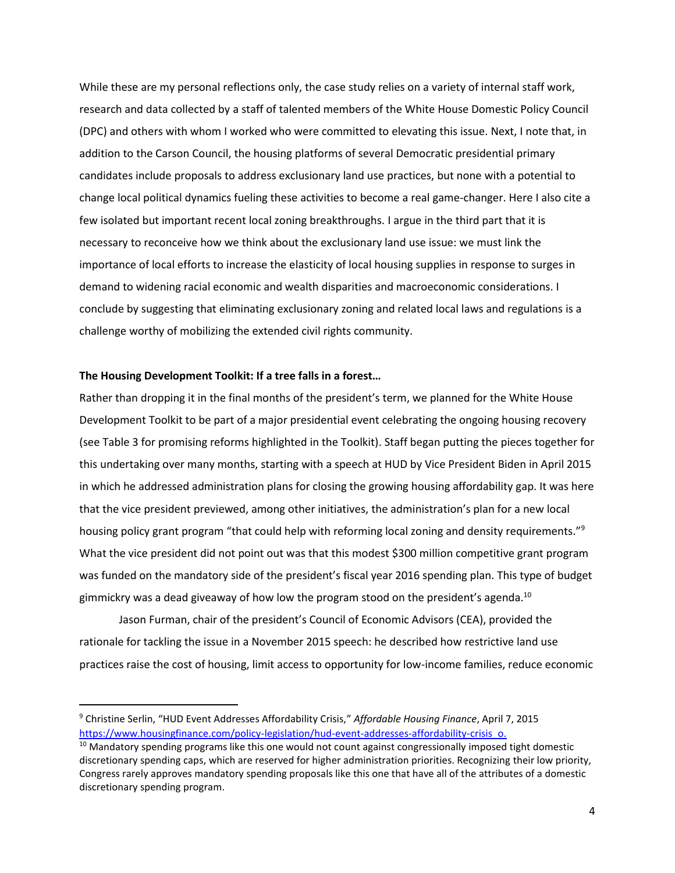While these are my personal reflections only, the case study relies on a variety of internal staff work, research and data collected by a staff of talented members of the White House Domestic Policy Council (DPC) and others with whom I worked who were committed to elevating this issue. Next, I note that, in addition to the Carson Council, the housing platforms of several Democratic presidential primary candidates include proposals to address exclusionary land use practices, but none with a potential to change local political dynamics fueling these activities to become a real game-changer. Here I also cite a few isolated but important recent local zoning breakthroughs. I argue in the third part that it is necessary to reconceive how we think about the exclusionary land use issue: we must link the importance of local efforts to increase the elasticity of local housing supplies in response to surges in demand to widening racial economic and wealth disparities and macroeconomic considerations. I conclude by suggesting that eliminating exclusionary zoning and related local laws and regulations is a challenge worthy of mobilizing the extended civil rights community.

#### **The Housing Development Toolkit: If a tree falls in a forest…**

 $\overline{\phantom{a}}$ 

Rather than dropping it in the final months of the president's term, we planned for the White House Development Toolkit to be part of a major presidential event celebrating the ongoing housing recovery (see Table 3 for promising reforms highlighted in the Toolkit). Staff began putting the pieces together for this undertaking over many months, starting with a speech at HUD by Vice President Biden in April 2015 in which he addressed administration plans for closing the growing housing affordability gap. It was here that the vice president previewed, among other initiatives, the administration's plan for a new local housing policy grant program "that could help with reforming local zoning and density requirements."<sup>9</sup> What the vice president did not point out was that this modest \$300 million competitive grant program was funded on the mandatory side of the president's fiscal year 2016 spending plan. This type of budget gimmickry was a dead giveaway of how low the program stood on the president's agenda.<sup>10</sup>

Jason Furman, chair of the president's Council of Economic Advisors (CEA), provided the rationale for tackling the issue in a November 2015 speech: he described how restrictive land use practices raise the cost of housing, limit access to opportunity for low-income families, reduce economic

<sup>9</sup> Christine Serlin, "HUD Event Addresses Affordability Crisis," *Affordable Housing Finance*, April 7, 2015 [https://www.housingfinance.com/policy-legislation/hud-event-addresses-affordability-crisis\\_o.](https://www.housingfinance.com/policy-legislation/hud-event-addresses-affordability-crisis_o)

<sup>&</sup>lt;sup>10</sup> Mandatory spending programs like this one would not count against congressionally imposed tight domestic discretionary spending caps, which are reserved for higher administration priorities. Recognizing their low priority, Congress rarely approves mandatory spending proposals like this one that have all of the attributes of a domestic discretionary spending program.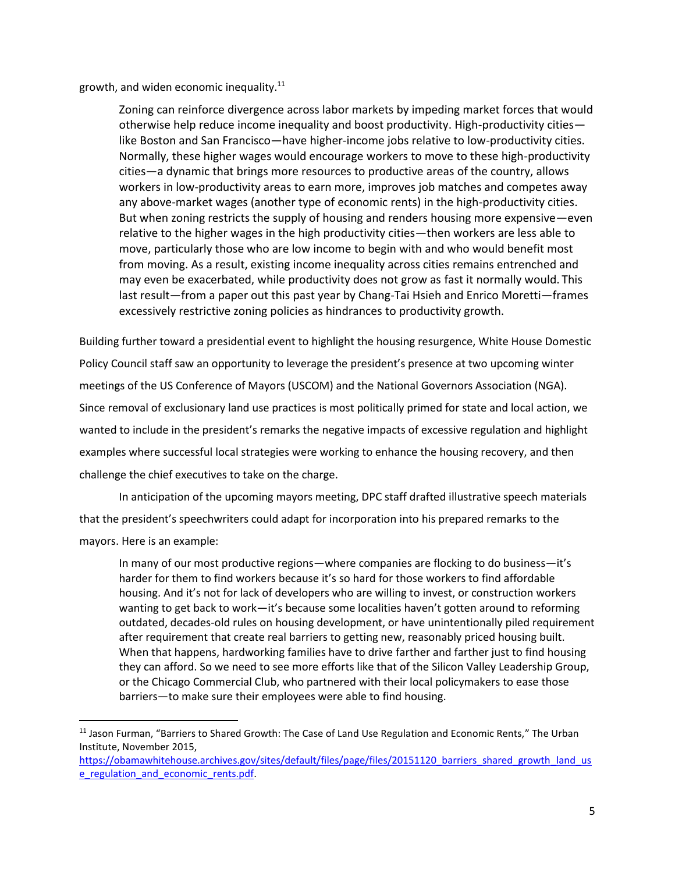growth, and widen economic inequality. $11$ 

 $\overline{\phantom{a}}$ 

Zoning can reinforce divergence across labor markets by impeding market forces that would otherwise help reduce income inequality and boost productivity. High-productivity cities like Boston and San Francisco—have higher-income jobs relative to low-productivity cities. Normally, these higher wages would encourage workers to move to these high-productivity cities—a dynamic that brings more resources to productive areas of the country, allows workers in low-productivity areas to earn more, improves job matches and competes away any above-market wages (another type of economic rents) in the high-productivity cities. But when zoning restricts the supply of housing and renders housing more expensive—even relative to the higher wages in the high productivity cities—then workers are less able to move, particularly those who are low income to begin with and who would benefit most from moving. As a result, existing income inequality across cities remains entrenched and may even be exacerbated, while productivity does not grow as fast it normally would. This last result—from a paper out this past year by Chang-Tai Hsieh and Enrico Moretti—frames excessively restrictive zoning policies as hindrances to productivity growth.

Building further toward a presidential event to highlight the housing resurgence, White House Domestic Policy Council staff saw an opportunity to leverage the president's presence at two upcoming winter meetings of the US Conference of Mayors (USCOM) and the National Governors Association (NGA). Since removal of exclusionary land use practices is most politically primed for state and local action, we wanted to include in the president's remarks the negative impacts of excessive regulation and highlight examples where successful local strategies were working to enhance the housing recovery, and then challenge the chief executives to take on the charge.

In anticipation of the upcoming mayors meeting, DPC staff drafted illustrative speech materials that the president's speechwriters could adapt for incorporation into his prepared remarks to the mayors. Here is an example:

In many of our most productive regions—where companies are flocking to do business—it's harder for them to find workers because it's so hard for those workers to find affordable housing. And it's not for lack of developers who are willing to invest, or construction workers wanting to get back to work—it's because some localities haven't gotten around to reforming outdated, decades-old rules on housing development, or have unintentionally piled requirement after requirement that create real barriers to getting new, reasonably priced housing built. When that happens, hardworking families have to drive farther and farther just to find housing they can afford. So we need to see more efforts like that of the Silicon Valley Leadership Group, or the Chicago Commercial Club, who partnered with their local policymakers to ease those barriers—to make sure their employees were able to find housing.

<sup>&</sup>lt;sup>11</sup> Jason Furman, "Barriers to Shared Growth: The Case of Land Use Regulation and Economic Rents," The Urban Institute, November 2015,

[https://obamawhitehouse.archives.gov/sites/default/files/page/files/20151120\\_barriers\\_shared\\_growth\\_land\\_us](https://obamawhitehouse.archives.gov/sites/default/files/page/files/20151120_barriers_shared_growth_land_use_regulation_and_economic_rents.pdf)\_ e\_regulation\_and\_economic\_rents.pdf.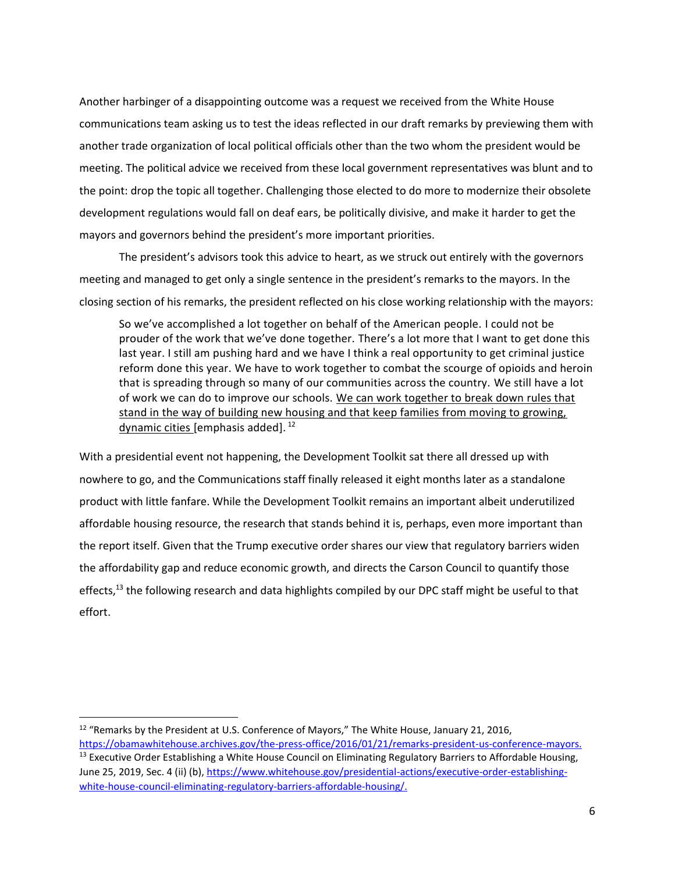Another harbinger of a disappointing outcome was a request we received from the White House communications team asking us to test the ideas reflected in our draft remarks by previewing them with another trade organization of local political officials other than the two whom the president would be meeting. The political advice we received from these local government representatives was blunt and to the point: drop the topic all together. Challenging those elected to do more to modernize their obsolete development regulations would fall on deaf ears, be politically divisive, and make it harder to get the mayors and governors behind the president's more important priorities.

The president's advisors took this advice to heart, as we struck out entirely with the governors meeting and managed to get only a single sentence in the president's remarks to the mayors. In the closing section of his remarks, the president reflected on his close working relationship with the mayors:

So we've accomplished a lot together on behalf of the American people. I could not be prouder of the work that we've done together. There's a lot more that I want to get done this last year. I still am pushing hard and we have I think a real opportunity to get criminal justice reform done this year. We have to work together to combat the scourge of opioids and heroin that is spreading through so many of our communities across the country. We still have a lot of work we can do to improve our schools. We can work together to break down rules that stand in the way of building new housing and that keep families from moving to growing, dynamic cities [emphasis added]. <sup>12</sup>

With a presidential event not happening, the Development Toolkit sat there all dressed up with nowhere to go, and the Communications staff finally released it eight months later as a standalone product with little fanfare. While the Development Toolkit remains an important albeit underutilized affordable housing resource, the research that stands behind it is, perhaps, even more important than the report itself. Given that the Trump executive order shares our view that regulatory barriers widen the affordability gap and reduce economic growth, and directs the Carson Council to quantify those effects,<sup>13</sup> the following research and data highlights compiled by our DPC staff might be useful to that effort.

 $12$  "Remarks by the President at U.S. Conference of Mayors," The White House, January 21, 2016,

[https://obamawhitehouse.archives.gov/the-press-office/2016/01/21/remarks-president-us-conference-mayors.](https://obamawhitehouse.archives.gov/the-press-office/2016/01/21/remarks-president-us-conference-mayors) <sup>13</sup> Executive Order Establishing a White House Council on Eliminating Regulatory Barriers to Affordable Housing, June 25, 2019, Sec. 4 (ii) (b), [https://www.whitehouse.gov/presidential-actions/executive-order-establishing](https://www.whitehouse.gov/presidential-actions/executive-order-establishing-white-house-council-eliminating-regulatory-barriers-affordable-housing/)[white-house-council-eliminating-regulatory-barriers-affordable-housing/.](https://www.whitehouse.gov/presidential-actions/executive-order-establishing-white-house-council-eliminating-regulatory-barriers-affordable-housing/)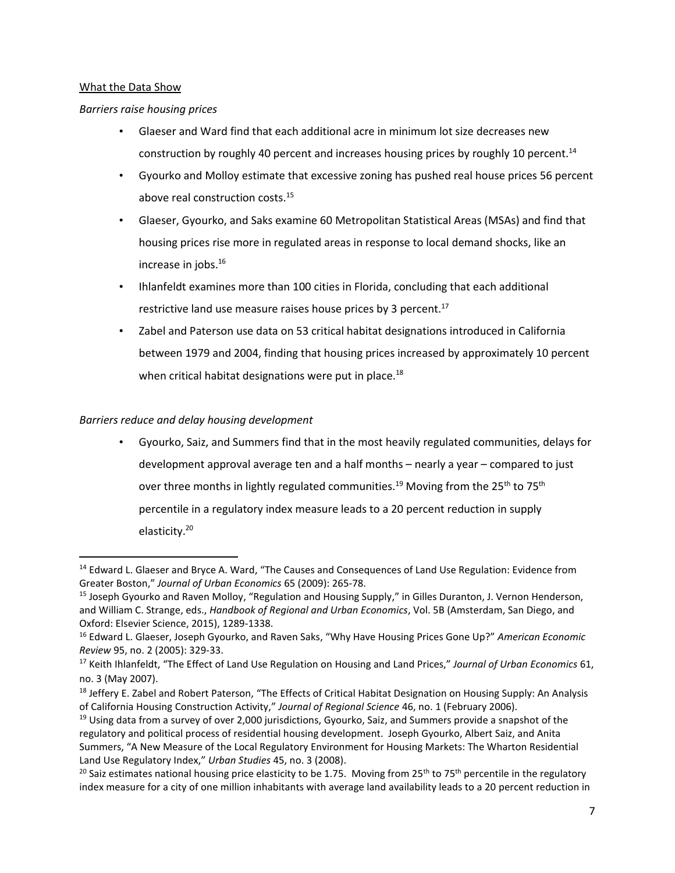### What the Data Show

## *Barriers raise housing prices*

- Glaeser and Ward find that each additional acre in minimum lot size decreases new construction by roughly 40 percent and increases housing prices by roughly 10 percent.<sup>14</sup>
- Gyourko and Molloy estimate that excessive zoning has pushed real house prices 56 percent above real construction costs.<sup>15</sup>
- Glaeser, Gyourko, and Saks examine 60 Metropolitan Statistical Areas (MSAs) and find that housing prices rise more in regulated areas in response to local demand shocks, like an increase in jobs. 16
- Ihlanfeldt examines more than 100 cities in Florida, concluding that each additional restrictive land use measure raises house prices by 3 percent. $17$
- Zabel and Paterson use data on 53 critical habitat designations introduced in California between 1979 and 2004, finding that housing prices increased by approximately 10 percent when critical habitat designations were put in place.<sup>18</sup>

## *Barriers reduce and delay housing development*

 $\overline{a}$ 

• Gyourko, Saiz, and Summers find that in the most heavily regulated communities, delays for development approval average ten and a half months – nearly a year – compared to just over three months in lightly regulated communities.<sup>19</sup> Moving from the 25<sup>th</sup> to 75<sup>th</sup> percentile in a regulatory index measure leads to a 20 percent reduction in supply elasticity.<sup>20</sup>

<sup>&</sup>lt;sup>14</sup> Edward L. Glaeser and Bryce A. Ward, "The Causes and Consequences of Land Use Regulation: Evidence from Greater Boston," *Journal of Urban Economics* 65 (2009): 265-78.

<sup>15</sup> Joseph Gyourko and Raven Molloy, "Regulation and Housing Supply," in Gilles Duranton, J. Vernon Henderson, and William C. Strange, eds., *Handbook of Regional and Urban Economics*, Vol. 5B (Amsterdam, San Diego, and Oxford: Elsevier Science, 2015), 1289-1338.

<sup>16</sup> Edward L. Glaeser, Joseph Gyourko, and Raven Saks, "Why Have Housing Prices Gone Up?" *American Economic Review* 95, no. 2 (2005): 329-33.

<sup>17</sup> Keith Ihlanfeldt, "The Effect of Land Use Regulation on Housing and Land Prices," *Jo[urnal of Urban Economics](https://www.sciencedirect.com/science/journal/00941190)* 61, no. 3 (May 2007).

<sup>&</sup>lt;sup>18</sup> Jeffery E. Zabel and Robert Paterson, "The Effects of Critical Habitat Designation on Housing Supply: An Analysis of California Housing Construction Activity," *Journal of Regional Science* 46, no. 1 (February 2006).

<sup>&</sup>lt;sup>19</sup> Using data from a survey of over 2,000 jurisdictions, Gyourko, Saiz, and Summers provide a snapshot of the regulatory and political process of residential housing development. Joseph Gyourko, Albert Saiz, and Anita Summers, "A New Measure of the Local Regulatory Environment for Housing Markets: The Wharton Residential Land Use Regulatory Index," *Urban Studies* 45, no. 3 (2008).

<sup>&</sup>lt;sup>20</sup> Saiz estimates national housing price elasticity to be 1.75. Moving from 25<sup>th</sup> to 75<sup>th</sup> percentile in the regulatory index measure for a city of one million inhabitants with average land availability leads to a 20 percent reduction in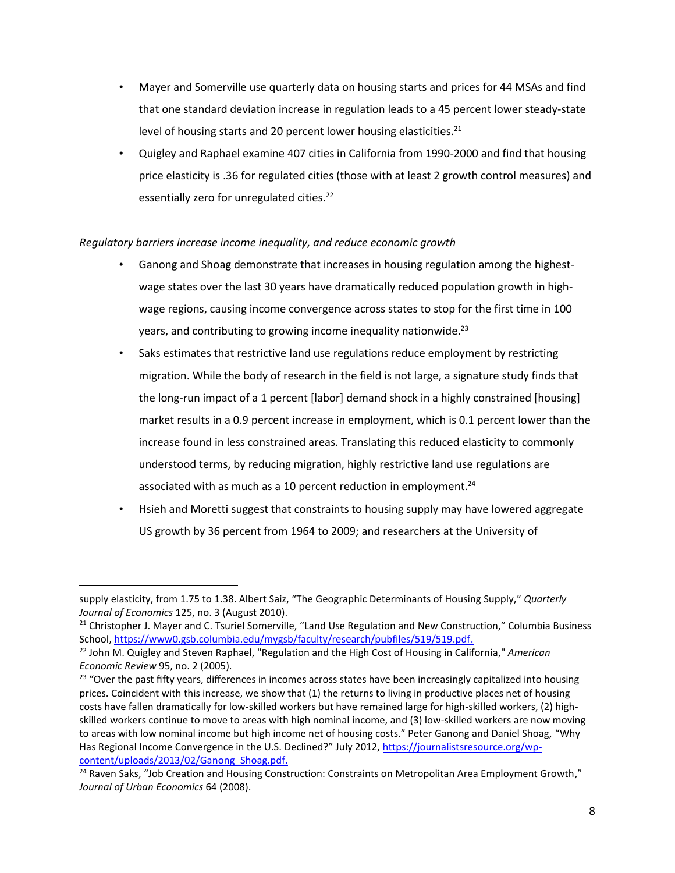- Mayer and Somerville use quarterly data on housing starts and prices for 44 MSAs and find that one standard deviation increase in regulation leads to a 45 percent lower steady-state level of housing starts and 20 percent lower housing elasticities.<sup>21</sup>
- Quigley and Raphael examine 407 cities in California from 1990-2000 and find that housing price elasticity is .36 for regulated cities (those with at least 2 growth control measures) and essentially zero for unregulated cities.<sup>22</sup>

## *Regulatory barriers increase income inequality, and reduce economic growth*

- Ganong and Shoag demonstrate that increases in housing regulation among the highestwage states over the last 30 years have dramatically reduced population growth in highwage regions, causing income convergence across states to stop for the first time in 100 years, and contributing to growing income inequality nationwide. $^{23}$
- Saks estimates that restrictive land use regulations reduce employment by restricting migration. While the body of research in the field is not large, a signature study finds that the long-run impact of a 1 percent [labor] demand shock in a highly constrained [housing] market results in a 0.9 percent increase in employment, which is 0.1 percent lower than the increase found in less constrained areas. Translating this reduced elasticity to commonly understood terms, by reducing migration, highly restrictive land use regulations are associated with as much as a 10 percent reduction in employment.<sup>24</sup>
- Hsieh and Moretti suggest that constraints to housing supply may have lowered aggregate US growth by 36 percent from 1964 to 2009; and researchers at the University of

supply elasticity, from 1.75 to 1.38. Albert Saiz, "The Geographic Determinants of Housing Supply," *Quarterly Journal of Economics* 125, no. 3 (August 2010).

<sup>&</sup>lt;sup>21</sup> Christopher J. Mayer and C. Tsuriel Somerville, "Land Use Regulation and New Construction," Columbia Business School[, https://www0.gsb.columbia.edu/mygsb/faculty/research/pubfiles/519/519.pdf.](https://www0.gsb.columbia.edu/mygsb/faculty/research/pubfiles/519/519.pdf)

<sup>22</sup> John M. Quigley and Steven Raphael, "Regulation and the High Cost of Housing in California," *American Economic Review* 95, no. 2 (2005).

<sup>&</sup>lt;sup>23</sup> "Over the past fifty years, differences in incomes across states have been increasingly capitalized into housing prices. Coincident with this increase, we show that (1) the returns to living in productive places net of housing costs have fallen dramatically for low-skilled workers but have remained large for high-skilled workers, (2) highskilled workers continue to move to areas with high nominal income, and (3) low-skilled workers are now moving to areas with low nominal income but high income net of housing costs." Peter Ganong and Daniel Shoag, "Why Has Regional Income Convergence in the U.S. Declined?" July 2012, [https://journalistsresource.org/wp](https://journalistsresource.org/wp-content/uploads/2013/02/Ganong_Shoag.pdf)[content/uploads/2013/02/Ganong\\_Shoag.pdf.](https://journalistsresource.org/wp-content/uploads/2013/02/Ganong_Shoag.pdf)

<sup>&</sup>lt;sup>24</sup> Raven Saks, "Job Creation and Housing Construction: Constraints on Metropolitan Area Employment Growth," *Journal of Urban Economics* 64 (2008).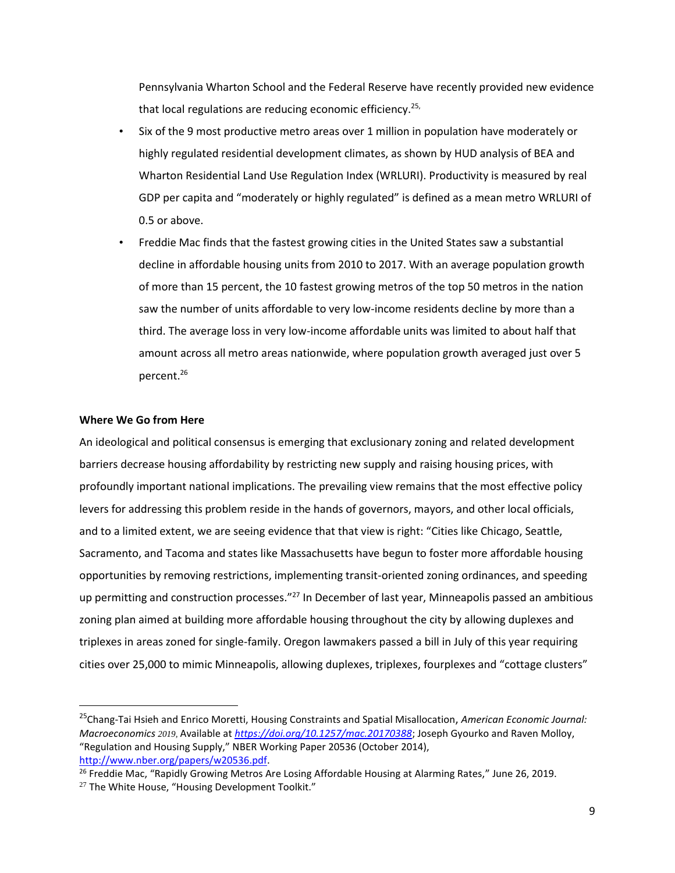Pennsylvania Wharton School and the Federal Reserve have recently provided new evidence that local regulations are reducing economic efficiency.<sup>25,</sup>

- Six of the 9 most productive metro areas over 1 million in population have moderately or highly regulated residential development climates, as shown by HUD analysis of BEA and Wharton Residential Land Use Regulation Index (WRLURI). Productivity is measured by real GDP per capita and "moderately or highly regulated" is defined as a mean metro WRLURI of 0.5 or above.
- Freddie Mac finds that the fastest growing cities in the United States saw a substantial decline in affordable housing units from 2010 to 2017. With an average population growth of more than 15 percent, the 10 fastest growing metros of the top 50 metros in the nation saw the number of units affordable to very low-income residents decline by more than a third. The average loss in very low-income affordable units was limited to about half that amount across all metro areas nationwide, where population growth averaged just over 5 percent. 26

#### **Where We Go from Here**

 $\overline{\phantom{a}}$ 

An ideological and political consensus is emerging that exclusionary zoning and related development barriers decrease housing affordability by restricting new supply and raising housing prices, with profoundly important national implications. The prevailing view remains that the most effective policy levers for addressing this problem reside in the hands of governors, mayors, and other local officials, and to a limited extent, we are seeing evidence that that view is right: "Cities like Chicago, Seattle, Sacramento, and Tacoma and states like Massachusetts have begun to foster more affordable housing opportunities by removing restrictions, implementing transit-oriented zoning ordinances, and speeding up permitting and construction processes."<sup>27</sup> In December of last year, Minneapolis passed an ambitious zoning plan aimed at building more affordable housing throughout the city by allowing duplexes and triplexes in areas zoned for single-family. Oregon lawmakers passed a bill in July of this year requiring cities over 25,000 to mimic Minneapolis, allowing duplexes, triplexes, fourplexes and "cottage clusters"

<sup>25</sup>Chang-Tai Hsieh and Enrico Moretti, Housing Constraints and Spatial Misallocation, *American Economic Journal: Macroeconomics 2019,* Available at *<https://doi.org/10.1257/mac.20170388>*; Joseph Gyourko and Raven Molloy, "Regulation and Housing Supply," NBER Working Paper 20536 (October 2014), [http://www.nber.org/papers/w20536.pdf.](http://www.nber.org/papers/w20536.pdf)

<sup>&</sup>lt;sup>26</sup> Freddie Mac, "Rapidly Growing Metros Are Losing Affordable Housing at Alarming Rates," June 26, 2019.

 $27$  The White House, "Housing Development Toolkit."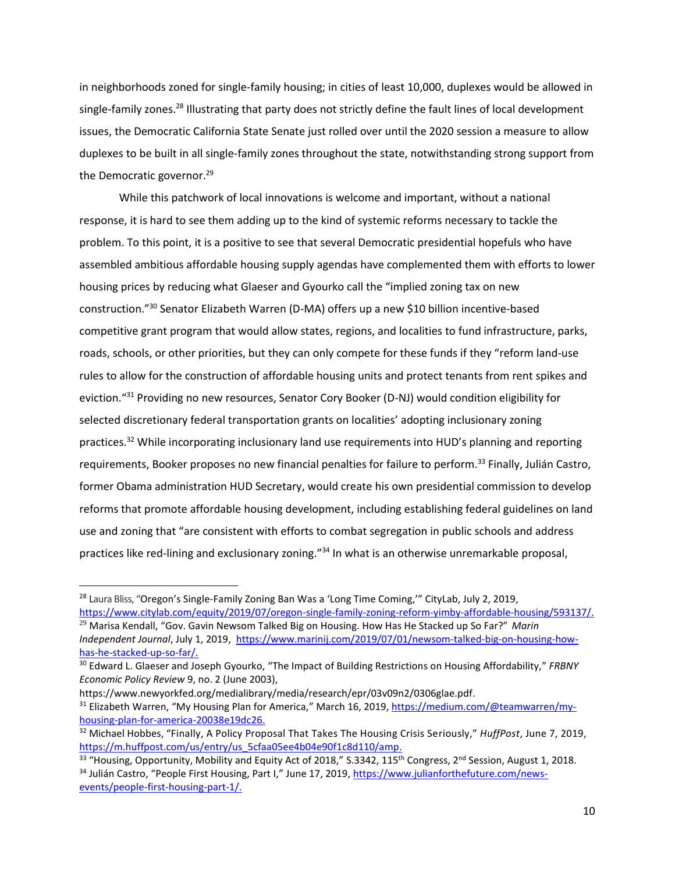in neighborhoods zoned for single-family housing; in cities of least 10,000, duplexes would be allowed in single-family zones.<sup>28</sup> Illustrating that party does not strictly define the fault lines of local development issues, the Democratic California State Senate just rolled over until the 2020 session a measure to allow duplexes to be built in all single-family zones throughout the state, notwithstanding strong support from the Democratic governor.<sup>29</sup>

While this patchwork of local innovations is welcome and important, without a national response, it is hard to see them adding up to the kind of systemic reforms necessary to tackle the problem. To this point, it is a positive to see that several Democratic presidential hopefuls who have assembled ambitious affordable housing supply agendas have complemented them with efforts to lower housing prices by reducing what Glaeser and Gyourko call the "implied zoning tax on new construction."<sup>30</sup> Senator Elizabeth Warren (D-MA) offers up a new \$10 billion incentive-based competitive grant program that would allow states, regions, and localities to fund infrastructure, parks, roads, schools, or other priorities, but they can only compete for these funds if they "reform land-use rules to allow for the construction of affordable housing units and protect tenants from rent spikes and eviction."<sup>31</sup> Providing no new resources, Senator Cory Booker (D-NJ) would condition eligibility for selected discretionary federal transportation grants on localities' adopting inclusionary zoning practices.<sup>32</sup> While incorporating inclusionary land use requirements into HUD's planning and reporting requirements, Booker proposes no new financial penalties for failure to perform.<sup>33</sup> Finally, Julián Castro, former Obama administration HUD Secretary, would create his own presidential commission to develop reforms that promote affordable housing development, including establishing federal guidelines on land use and zoning that "are consistent with efforts to combat segregation in public schools and address practices like red-lining and exclusionary zoning."<sup>34</sup> In what is an otherwise unremarkable proposal,

<sup>&</sup>lt;sup>28</sup> Laura Bliss, "Oregon's Single-Family Zoning Ban Was a 'Long Time Coming,"" CityLab, July 2, 2019, [https://www.citylab.com/equity/2019/07/oregon-single-family-zoning-reform-yimby-affordable-housing/593137/.](https://www.citylab.com/equity/2019/07/oregon-single-family-zoning-reform-yimby-affordable-housing/593137/)

<sup>29</sup> Marisa Kendall, "Gov. Gavin Newsom Talked Big on Housing. How Has He Stacked up So Far?" *Marin Independent Journal*, July 1, 2019, [https://www.marinij.com/2019/07/01/newsom-talked-big-on-housing-how](https://www.marinij.com/2019/07/01/newsom-talked-big-on-housing-how-has-he-stacked-up-so-far/)[has-he-stacked-up-so-far/.](https://www.marinij.com/2019/07/01/newsom-talked-big-on-housing-how-has-he-stacked-up-so-far/)

<sup>30</sup> Edward L. Glaeser and Joseph Gyourko, "The Impact of Building Restrictions on Housing Affordability," *FRBNY Economic Policy Review* 9, no. 2 (June 2003),

https://www.newyorkfed.org/medialibrary/media/research/epr/03v09n2/0306glae.pdf.

<sup>31</sup> Elizabeth Warren, "My Housing Plan for America," March 16, 2019, [https://medium.com/@teamwarren/my](https://medium.com/@teamwarren/my-housing-plan-for-america-20038e19dc26)[housing-plan-for-america-20038e19dc26.](https://medium.com/@teamwarren/my-housing-plan-for-america-20038e19dc26)

<sup>32</sup> Michael Hobbes, "Finally, A Policy Proposal That Takes The Housing Crisis Seriously," *HuffPost*, June 7, 2019, [https://m.huffpost.com/us/entry/us\\_5cfaa05ee4b04e90f1c8d110/amp.](https://m.huffpost.com/us/entry/us_5cfaa05ee4b04e90f1c8d110/amp)

 $33$  "Housing, Opportunity, Mobility and Equity Act of 2018," S.3342, 115<sup>th</sup> Congress, 2<sup>nd</sup> Session, August 1, 2018. <sup>34</sup> Julián Castro, "People First Housing, Part I," June 17, 2019, [https://www.julianforthefuture.com/news](https://www.julianforthefuture.com/news-events/people-first-housing-part-1/)[events/people-first-housing-part-1/.](https://www.julianforthefuture.com/news-events/people-first-housing-part-1/)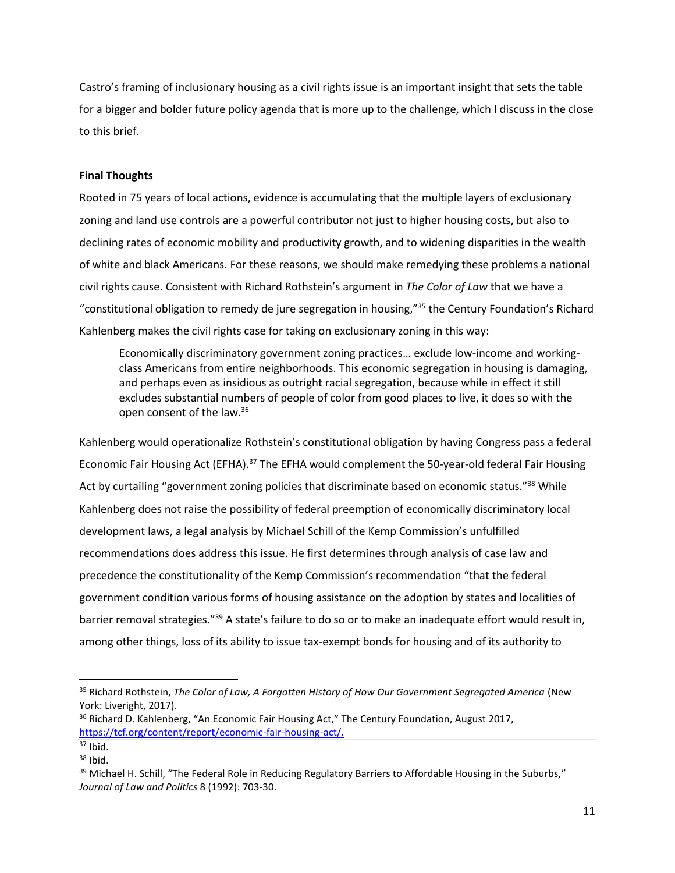Castro's framing of inclusionary housing as a civil rights issue is an important insight that sets the table for a bigger and bolder future policy agenda that is more up to the challenge, which I discuss in the close to this brief.

#### **Final Thoughts**

Rooted in 75 years of local actions, evidence is accumulating that the multiple layers of exclusionary zoning and land use controls are a powerful contributor not just to higher housing costs, but also to declining rates of economic mobility and productivity growth, and to widening disparities in the wealth of white and black Americans. For these reasons, we should make remedying these problems a national civil rights cause. Consistent with Richard Rothstein's argument in *The Color of Law* that we have a "constitutional obligation to remedy de jure segregation in housing,"<sup>35</sup> the Century Foundation's Richard Kahlenberg makes the civil rights case for taking on exclusionary zoning in this way:

Economically discriminatory government zoning practices… exclude low-income and workingclass Americans from entire neighborhoods. This economic segregation in housing is damaging, and perhaps even as insidious as outright racial segregation, because while in effect it still excludes substantial numbers of people of color from good places to live, it does so with the open consent of the law.<sup>36</sup>

Kahlenberg would operationalize Rothstein's constitutional obligation by having Congress pass a federal Economic Fair Housing Act (EFHA).<sup>37</sup> The EFHA would complement the 50-year-old federal Fair Housing Act by curtailing "government zoning policies that discriminate based on economic status."<sup>38</sup> While Kahlenberg does not raise the possibility of federal preemption of economically discriminatory local development laws, a legal analysis by Michael Schill of the Kemp Commission's unfulfilled recommendations does address this issue. He first determines through analysis of case law and precedence the constitutionality of the Kemp Commission's recommendation "that the federal government condition various forms of housing assistance on the adoption by states and localities of barrier removal strategies."<sup>39</sup> A state's failure to do so or to make an inadequate effort would result in, among other things, loss of its ability to issue tax-exempt bonds for housing and of its authority to

<sup>35</sup> Richard Rothstein, *The Color of Law, A Forgotten History of How Our Government Segregated America* (New York: Liveright, 2017).

<sup>&</sup>lt;sup>36</sup> Richard D. Kahlenberg, "An Economic Fair Housing Act," The Century Foundation, August 2017, https://tcf.org/content/report/economic-fair-housing-act/.

 $37$  Ibid.

 $38$  Ibid.

 $39$  Michael H. Schill, "The Federal Role in Reducing Regulatory Barriers to Affordable Housing in the Suburbs," *Journal of Law and Politics* 8 (1992): 703-30.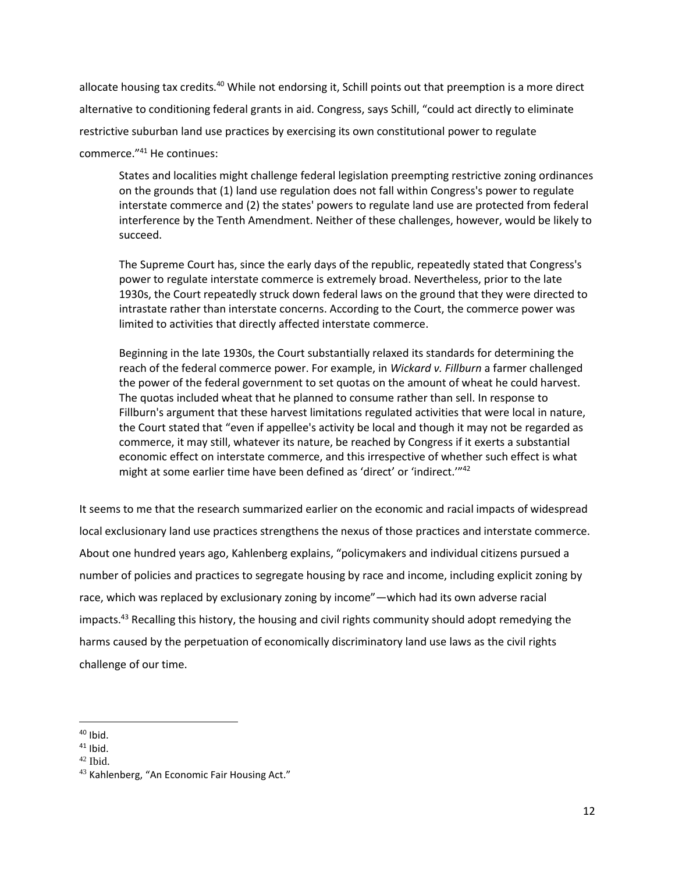allocate housing tax credits.<sup>40</sup> While not endorsing it, Schill points out that preemption is a more direct alternative to conditioning federal grants in aid. Congress, says Schill, "could act directly to eliminate restrictive suburban land use practices by exercising its own constitutional power to regulate commerce." <sup>41</sup> He continues:

States and localities might challenge federal legislation preempting restrictive zoning ordinances on the grounds that (1) land use regulation does not fall within Congress's power to regulate interstate commerce and (2) the states' powers to regulate land use are protected from federal interference by the Tenth Amendment. Neither of these challenges, however, would be likely to succeed.

The Supreme Court has, since the early days of the republic, repeatedly stated that Congress's power to regulate interstate commerce is extremely broad. Nevertheless, prior to the late 1930s, the Court repeatedly struck down federal laws on the ground that they were directed to intrastate rather than interstate concerns. According to the Court, the commerce power was limited to activities that directly affected interstate commerce.

Beginning in the late 1930s, the Court substantially relaxed its standards for determining the reach of the federal commerce power. For example, in *Wickard v. Fillburn* a farmer challenged the power of the federal government to set quotas on the amount of wheat he could harvest. The quotas included wheat that he planned to consume rather than sell. In response to Fillburn's argument that these harvest limitations regulated activities that were local in nature, the Court stated that "even if appellee's activity be local and though it may not be regarded as commerce, it may still, whatever its nature, be reached by Congress if it exerts a substantial economic effect on interstate commerce, and this irrespective of whether such effect is what might at some earlier time have been defined as 'direct' or 'indirect.'" 42

It seems to me that the research summarized earlier on the economic and racial impacts of widespread local exclusionary land use practices strengthens the nexus of those practices and interstate commerce. About one hundred years ago, Kahlenberg explains, "policymakers and individual citizens pursued a number of policies and practices to segregate housing by race and income, including explicit zoning by race, which was replaced by exclusionary zoning by income"—which had its own adverse racial impacts.<sup>43</sup> Recalling this history, the housing and civil rights community should adopt remedying the harms caused by the perpetuation of economically discriminatory land use laws as the civil rights challenge of our time.

 $\overline{\phantom{a}}$ 

 $40$  Ibid.

 $41$  Ibid.

 $42$  Ibid.

<sup>43</sup> Kahlenberg, "An Economic Fair Housing Act."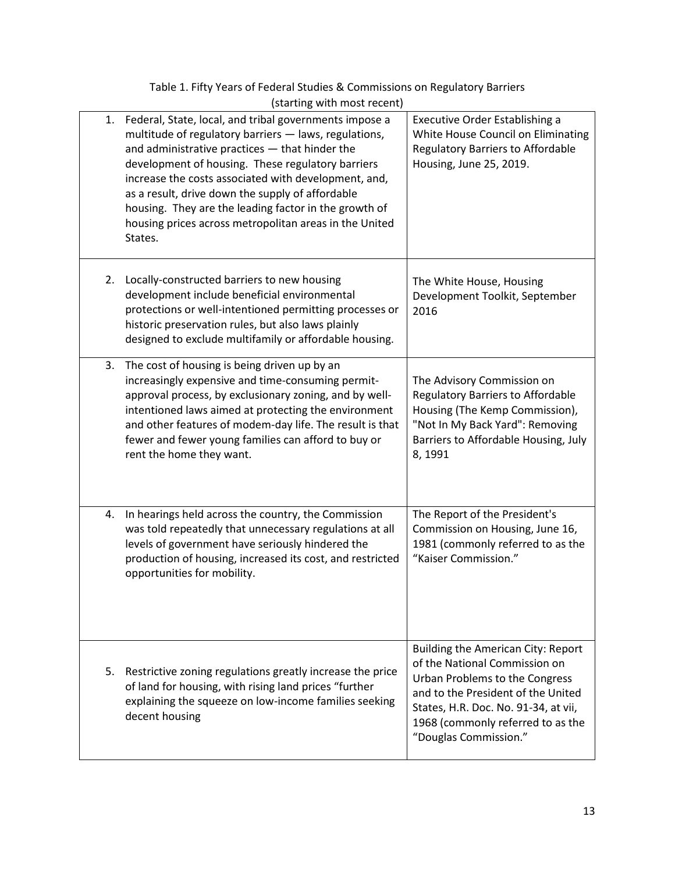|    | (starting with most recent)                                                                                                                                                                                                                                                                                                                                                                                                                                      |                                                                                                                                                                                                                                                   |
|----|------------------------------------------------------------------------------------------------------------------------------------------------------------------------------------------------------------------------------------------------------------------------------------------------------------------------------------------------------------------------------------------------------------------------------------------------------------------|---------------------------------------------------------------------------------------------------------------------------------------------------------------------------------------------------------------------------------------------------|
| 1. | Federal, State, local, and tribal governments impose a<br>multitude of regulatory barriers - laws, regulations,<br>and administrative practices - that hinder the<br>development of housing. These regulatory barriers<br>increase the costs associated with development, and,<br>as a result, drive down the supply of affordable<br>housing. They are the leading factor in the growth of<br>housing prices across metropolitan areas in the United<br>States. | Executive Order Establishing a<br>White House Council on Eliminating<br>Regulatory Barriers to Affordable<br>Housing, June 25, 2019.                                                                                                              |
| 2. | Locally-constructed barriers to new housing<br>development include beneficial environmental<br>protections or well-intentioned permitting processes or<br>historic preservation rules, but also laws plainly<br>designed to exclude multifamily or affordable housing.                                                                                                                                                                                           | The White House, Housing<br>Development Toolkit, September<br>2016                                                                                                                                                                                |
| 3. | The cost of housing is being driven up by an<br>increasingly expensive and time-consuming permit-<br>approval process, by exclusionary zoning, and by well-<br>intentioned laws aimed at protecting the environment<br>and other features of modem-day life. The result is that<br>fewer and fewer young families can afford to buy or<br>rent the home they want.                                                                                               | The Advisory Commission on<br><b>Regulatory Barriers to Affordable</b><br>Housing (The Kemp Commission),<br>"Not In My Back Yard": Removing<br>Barriers to Affordable Housing, July<br>8,1991                                                     |
| 4. | In hearings held across the country, the Commission<br>was told repeatedly that unnecessary regulations at all<br>levels of government have seriously hindered the<br>production of housing, increased its cost, and restricted<br>opportunities for mobility.                                                                                                                                                                                                   | The Report of the President's<br>Commission on Housing, June 16,<br>1981 (commonly referred to as the<br>"Kaiser Commission."                                                                                                                     |
| 5. | Restrictive zoning regulations greatly increase the price<br>of land for housing, with rising land prices "further<br>explaining the squeeze on low-income families seeking<br>decent housing                                                                                                                                                                                                                                                                    | Building the American City: Report<br>of the National Commission on<br>Urban Problems to the Congress<br>and to the President of the United<br>States, H.R. Doc. No. 91-34, at vii,<br>1968 (commonly referred to as the<br>"Douglas Commission." |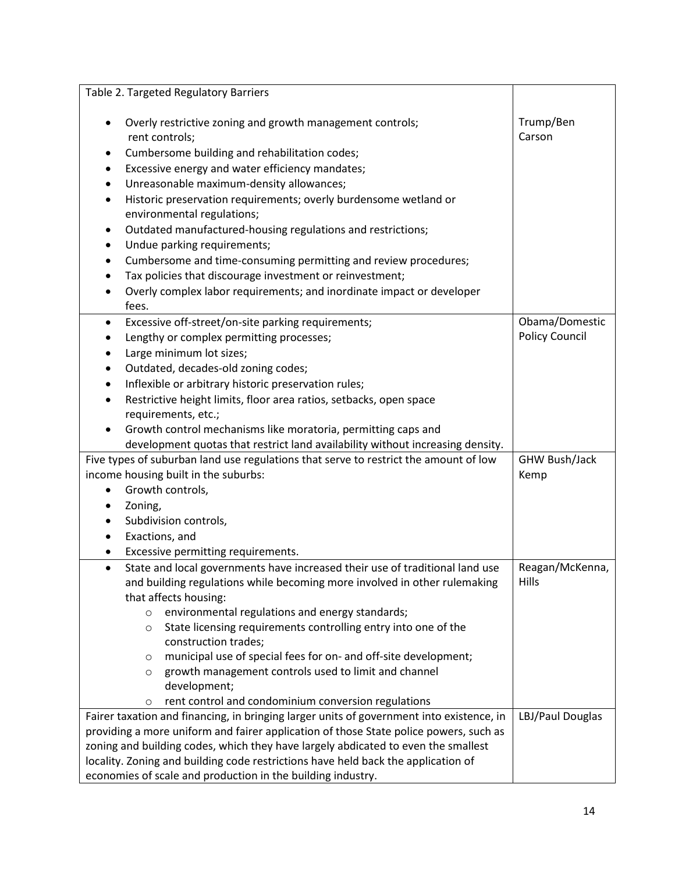|                                                                                                                                                                                   |                                                                                   | Table 2. Targeted Regulatory Barriers                                                                                   |                     |  |  |
|-----------------------------------------------------------------------------------------------------------------------------------------------------------------------------------|-----------------------------------------------------------------------------------|-------------------------------------------------------------------------------------------------------------------------|---------------------|--|--|
|                                                                                                                                                                                   |                                                                                   |                                                                                                                         |                     |  |  |
| Overly restrictive zoning and growth management controls;                                                                                                                         |                                                                                   |                                                                                                                         | Trump/Ben<br>Carson |  |  |
|                                                                                                                                                                                   | rent controls;                                                                    |                                                                                                                         |                     |  |  |
| ٠                                                                                                                                                                                 | Cumbersome building and rehabilitation codes;                                     |                                                                                                                         |                     |  |  |
| ٠                                                                                                                                                                                 | Excessive energy and water efficiency mandates;                                   |                                                                                                                         |                     |  |  |
| ٠                                                                                                                                                                                 |                                                                                   | Unreasonable maximum-density allowances;                                                                                |                     |  |  |
| $\bullet$                                                                                                                                                                         | Historic preservation requirements; overly burdensome wetland or                  |                                                                                                                         |                     |  |  |
|                                                                                                                                                                                   |                                                                                   | environmental regulations;                                                                                              |                     |  |  |
| ٠                                                                                                                                                                                 | Outdated manufactured-housing regulations and restrictions;                       |                                                                                                                         |                     |  |  |
| ٠                                                                                                                                                                                 | Undue parking requirements;                                                       |                                                                                                                         |                     |  |  |
| ٠                                                                                                                                                                                 | Cumbersome and time-consuming permitting and review procedures;                   |                                                                                                                         |                     |  |  |
| $\bullet$                                                                                                                                                                         | Tax policies that discourage investment or reinvestment;                          |                                                                                                                         |                     |  |  |
| $\bullet$                                                                                                                                                                         |                                                                                   | Overly complex labor requirements; and inordinate impact or developer                                                   |                     |  |  |
|                                                                                                                                                                                   | fees.                                                                             |                                                                                                                         |                     |  |  |
| $\bullet$                                                                                                                                                                         |                                                                                   | Excessive off-street/on-site parking requirements;                                                                      | Obama/Domestic      |  |  |
| $\bullet$                                                                                                                                                                         |                                                                                   | Lengthy or complex permitting processes;                                                                                | Policy Council      |  |  |
| ٠                                                                                                                                                                                 | Large minimum lot sizes;                                                          |                                                                                                                         |                     |  |  |
| $\bullet$                                                                                                                                                                         | Outdated, decades-old zoning codes;                                               |                                                                                                                         |                     |  |  |
| $\bullet$                                                                                                                                                                         |                                                                                   | Inflexible or arbitrary historic preservation rules;                                                                    |                     |  |  |
| $\bullet$                                                                                                                                                                         |                                                                                   | Restrictive height limits, floor area ratios, setbacks, open space                                                      |                     |  |  |
|                                                                                                                                                                                   | requirements, etc.;                                                               |                                                                                                                         |                     |  |  |
|                                                                                                                                                                                   |                                                                                   | Growth control mechanisms like moratoria, permitting caps and                                                           |                     |  |  |
|                                                                                                                                                                                   |                                                                                   | development quotas that restrict land availability without increasing density.                                          |                     |  |  |
|                                                                                                                                                                                   |                                                                                   | Five types of suburban land use regulations that serve to restrict the amount of low                                    | GHW Bush/Jack       |  |  |
|                                                                                                                                                                                   |                                                                                   | income housing built in the suburbs:                                                                                    | Kemp                |  |  |
| $\bullet$                                                                                                                                                                         | Growth controls,                                                                  |                                                                                                                         |                     |  |  |
| $\bullet$                                                                                                                                                                         | Zoning,                                                                           |                                                                                                                         |                     |  |  |
|                                                                                                                                                                                   |                                                                                   | Subdivision controls,                                                                                                   |                     |  |  |
| ٠                                                                                                                                                                                 | Exactions, and                                                                    |                                                                                                                         |                     |  |  |
| ٠                                                                                                                                                                                 | Excessive permitting requirements.                                                |                                                                                                                         |                     |  |  |
| $\bullet$                                                                                                                                                                         |                                                                                   | State and local governments have increased their use of traditional land use                                            | Reagan/McKenna,     |  |  |
|                                                                                                                                                                                   |                                                                                   | and building regulations while becoming more involved in other rulemaking                                               | Hills               |  |  |
|                                                                                                                                                                                   |                                                                                   | that affects housing:                                                                                                   |                     |  |  |
|                                                                                                                                                                                   | $\circ$                                                                           | environmental regulations and energy standards;                                                                         |                     |  |  |
|                                                                                                                                                                                   | $\circ$                                                                           | State licensing requirements controlling entry into one of the                                                          |                     |  |  |
|                                                                                                                                                                                   |                                                                                   | construction trades;                                                                                                    |                     |  |  |
|                                                                                                                                                                                   | $\circ$                                                                           | municipal use of special fees for on- and off-site development;<br>growth management controls used to limit and channel |                     |  |  |
|                                                                                                                                                                                   | $\circ$                                                                           | development;                                                                                                            |                     |  |  |
|                                                                                                                                                                                   | $\circ$                                                                           | rent control and condominium conversion regulations                                                                     |                     |  |  |
|                                                                                                                                                                                   | LBJ/Paul Douglas                                                                  |                                                                                                                         |                     |  |  |
| Fairer taxation and financing, in bringing larger units of government into existence, in<br>providing a more uniform and fairer application of those State police powers, such as |                                                                                   |                                                                                                                         |                     |  |  |
|                                                                                                                                                                                   | zoning and building codes, which they have largely abdicated to even the smallest |                                                                                                                         |                     |  |  |
|                                                                                                                                                                                   |                                                                                   | locality. Zoning and building code restrictions have held back the application of                                       |                     |  |  |
|                                                                                                                                                                                   |                                                                                   | economies of scale and production in the building industry.                                                             |                     |  |  |